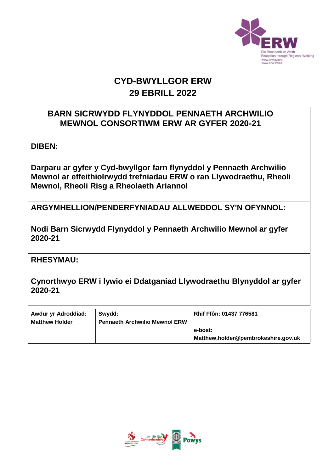

# **CYD-BWYLLGOR ERW 29 EBRILL 2022**

## **BARN SICRWYDD FLYNYDDOL PENNAETH ARCHWILIO MEWNOL CONSORTIWM ERW AR GYFER 2020-21**

**DIBEN:**

**Darparu ar gyfer y Cyd-bwyllgor farn flynyddol y Pennaeth Archwilio Mewnol ar effeithiolrwydd trefniadau ERW o ran Llywodraethu, Rheoli Mewnol, Rheoli Risg a Rheolaeth Ariannol**

**ARGYMHELLION/PENDERFYNIADAU ALLWEDDOL SY'N OFYNNOL:**

**Nodi Barn Sicrwydd Flynyddol y Pennaeth Archwilio Mewnol ar gyfer 2020-21**

**RHESYMAU:** 

**Cynorthwyo ERW i lywio ei Ddatganiad Llywodraethu Blynyddol ar gyfer 2020-21**

| Awdur yr Adroddiad:<br><b>Matthew Holder</b> | Swydd:<br><b>Pennaeth Archwilio Mewnol ERW</b> | Rhif Ffôn: 01437 776581                        |  |
|----------------------------------------------|------------------------------------------------|------------------------------------------------|--|
|                                              |                                                | e-bost:<br>Matthew.holder@pembrokeshire.gov.uk |  |